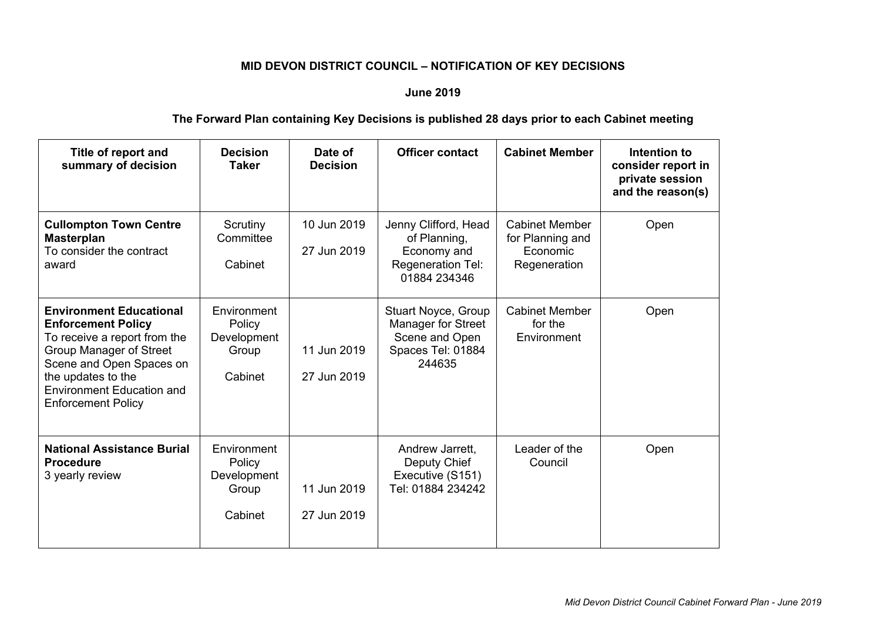## **MID DEVON DISTRICT COUNCIL – NOTIFICATION OF KEY DECISIONS**

## **June 2019**

## **The Forward Plan containing Key Decisions is published 28 days prior to each Cabinet meeting**

| Title of report and<br>summary of decision                                                                                                                                                                                                       | <b>Decision</b><br><b>Taker</b>                          | Date of<br><b>Decision</b> | <b>Officer contact</b>                                                                            | <b>Cabinet Member</b>                                                 | Intention to<br>consider report in<br>private session<br>and the reason(s) |
|--------------------------------------------------------------------------------------------------------------------------------------------------------------------------------------------------------------------------------------------------|----------------------------------------------------------|----------------------------|---------------------------------------------------------------------------------------------------|-----------------------------------------------------------------------|----------------------------------------------------------------------------|
| <b>Cullompton Town Centre</b><br><b>Masterplan</b><br>To consider the contract<br>award                                                                                                                                                          | Scrutiny<br>Committee<br>Cabinet                         | 10 Jun 2019<br>27 Jun 2019 | Jenny Clifford, Head<br>of Planning,<br>Economy and<br>Regeneration Tel:<br>01884 234346          | <b>Cabinet Member</b><br>for Planning and<br>Economic<br>Regeneration | Open                                                                       |
| <b>Environment Educational</b><br><b>Enforcement Policy</b><br>To receive a report from the<br><b>Group Manager of Street</b><br>Scene and Open Spaces on<br>the updates to the<br><b>Environment Education and</b><br><b>Enforcement Policy</b> | Environment<br>Policy<br>Development<br>Group<br>Cabinet | 11 Jun 2019<br>27 Jun 2019 | Stuart Noyce, Group<br><b>Manager for Street</b><br>Scene and Open<br>Spaces Tel: 01884<br>244635 | <b>Cabinet Member</b><br>for the<br>Environment                       | Open                                                                       |
| <b>National Assistance Burial</b><br><b>Procedure</b><br>3 yearly review                                                                                                                                                                         | Environment<br>Policy<br>Development<br>Group<br>Cabinet | 11 Jun 2019<br>27 Jun 2019 | Andrew Jarrett,<br>Deputy Chief<br>Executive (S151)<br>Tel: 01884 234242                          | Leader of the<br>Council                                              | Open                                                                       |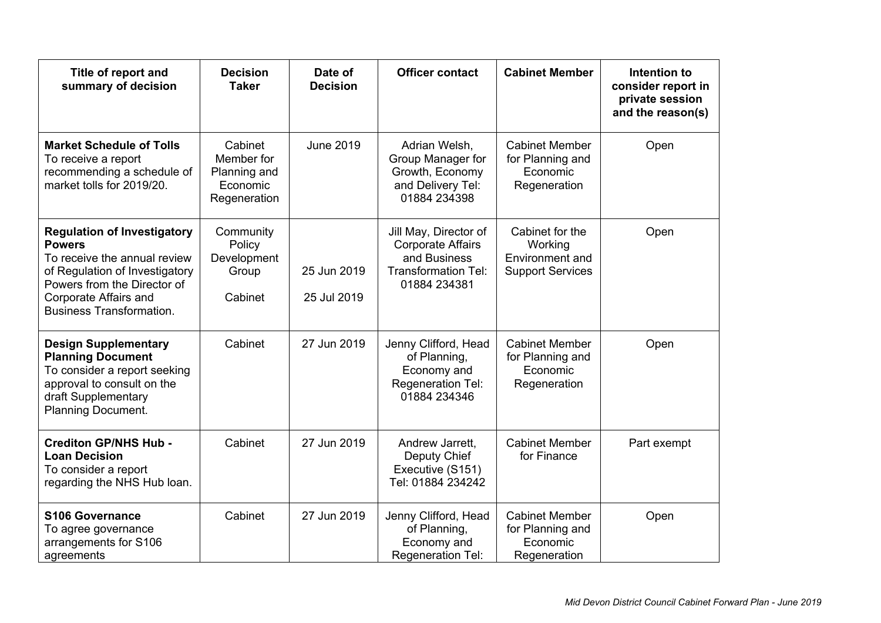| Title of report and<br>summary of decision                                                                                                                                                                       | <b>Decision</b><br><b>Taker</b>                                   | Date of<br><b>Decision</b> | <b>Officer contact</b>                                                                                          | <b>Cabinet Member</b>                                                    | Intention to<br>consider report in<br>private session<br>and the reason(s) |
|------------------------------------------------------------------------------------------------------------------------------------------------------------------------------------------------------------------|-------------------------------------------------------------------|----------------------------|-----------------------------------------------------------------------------------------------------------------|--------------------------------------------------------------------------|----------------------------------------------------------------------------|
| <b>Market Schedule of Tolls</b><br>To receive a report<br>recommending a schedule of<br>market tolls for 2019/20.                                                                                                | Cabinet<br>Member for<br>Planning and<br>Economic<br>Regeneration | <b>June 2019</b>           | Adrian Welsh,<br>Group Manager for<br>Growth, Economy<br>and Delivery Tel:<br>01884 234398                      | <b>Cabinet Member</b><br>for Planning and<br>Economic<br>Regeneration    | Open                                                                       |
| <b>Regulation of Investigatory</b><br><b>Powers</b><br>To receive the annual review<br>of Regulation of Investigatory<br>Powers from the Director of<br>Corporate Affairs and<br><b>Business Transformation.</b> | Community<br>Policy<br>Development<br>Group<br>Cabinet            | 25 Jun 2019<br>25 Jul 2019 | Jill May, Director of<br><b>Corporate Affairs</b><br>and Business<br><b>Transformation Tel:</b><br>01884 234381 | Cabinet for the<br>Working<br>Environment and<br><b>Support Services</b> | Open                                                                       |
| <b>Design Supplementary</b><br><b>Planning Document</b><br>To consider a report seeking<br>approval to consult on the<br>draft Supplementary<br>Planning Document.                                               | Cabinet                                                           | 27 Jun 2019                | Jenny Clifford, Head<br>of Planning,<br>Economy and<br>Regeneration Tel:<br>01884 234346                        | <b>Cabinet Member</b><br>for Planning and<br>Economic<br>Regeneration    | Open                                                                       |
| <b>Crediton GP/NHS Hub -</b><br><b>Loan Decision</b><br>To consider a report<br>regarding the NHS Hub loan.                                                                                                      | Cabinet                                                           | 27 Jun 2019                | Andrew Jarrett,<br>Deputy Chief<br>Executive (S151)<br>Tel: 01884 234242                                        | <b>Cabinet Member</b><br>for Finance                                     | Part exempt                                                                |
| <b>S106 Governance</b><br>To agree governance<br>arrangements for S106<br>agreements                                                                                                                             | Cabinet                                                           | 27 Jun 2019                | Jenny Clifford, Head<br>of Planning,<br>Economy and<br>Regeneration Tel:                                        | <b>Cabinet Member</b><br>for Planning and<br>Economic<br>Regeneration    | Open                                                                       |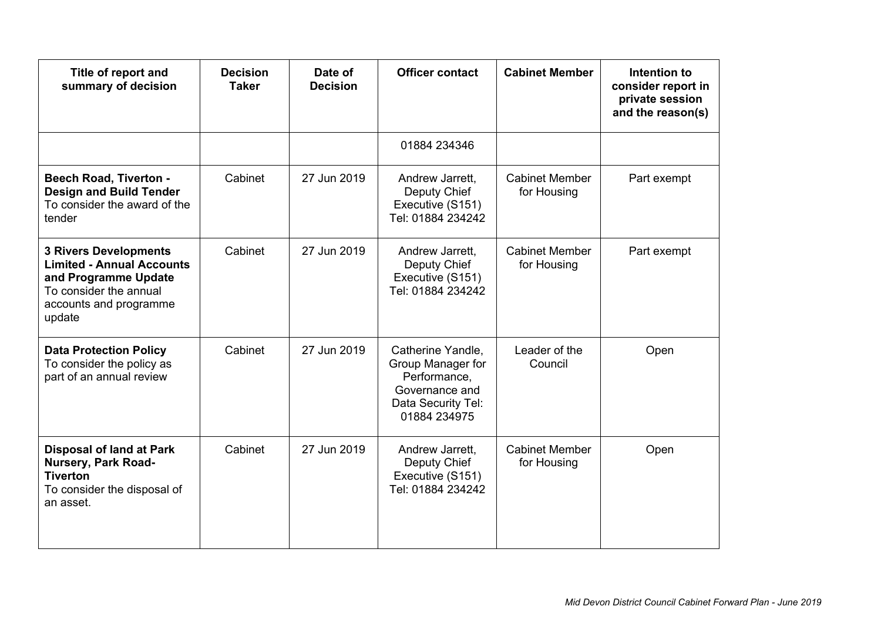| Title of report and<br>summary of decision                                                                                                             | <b>Decision</b><br><b>Taker</b> | Date of<br><b>Decision</b> | <b>Officer contact</b>                                                                                         | <b>Cabinet Member</b>                | Intention to<br>consider report in<br>private session<br>and the reason(s) |
|--------------------------------------------------------------------------------------------------------------------------------------------------------|---------------------------------|----------------------------|----------------------------------------------------------------------------------------------------------------|--------------------------------------|----------------------------------------------------------------------------|
|                                                                                                                                                        |                                 |                            | 01884 234346                                                                                                   |                                      |                                                                            |
| <b>Beech Road, Tiverton -</b><br><b>Design and Build Tender</b><br>To consider the award of the<br>tender                                              | Cabinet                         | 27 Jun 2019                | Andrew Jarrett,<br>Deputy Chief<br>Executive (S151)<br>Tel: 01884 234242                                       | <b>Cabinet Member</b><br>for Housing | Part exempt                                                                |
| <b>3 Rivers Developments</b><br><b>Limited - Annual Accounts</b><br>and Programme Update<br>To consider the annual<br>accounts and programme<br>update | Cabinet                         | 27 Jun 2019                | Andrew Jarrett,<br>Deputy Chief<br>Executive (S151)<br>Tel: 01884 234242                                       | <b>Cabinet Member</b><br>for Housing | Part exempt                                                                |
| <b>Data Protection Policy</b><br>To consider the policy as<br>part of an annual review                                                                 | Cabinet                         | 27 Jun 2019                | Catherine Yandle,<br>Group Manager for<br>Performance,<br>Governance and<br>Data Security Tel:<br>01884 234975 | Leader of the<br>Council             | Open                                                                       |
| <b>Disposal of land at Park</b><br><b>Nursery, Park Road-</b><br><b>Tiverton</b><br>To consider the disposal of<br>an asset.                           | Cabinet                         | 27 Jun 2019                | Andrew Jarrett.<br>Deputy Chief<br>Executive (S151)<br>Tel: 01884 234242                                       | <b>Cabinet Member</b><br>for Housing | Open                                                                       |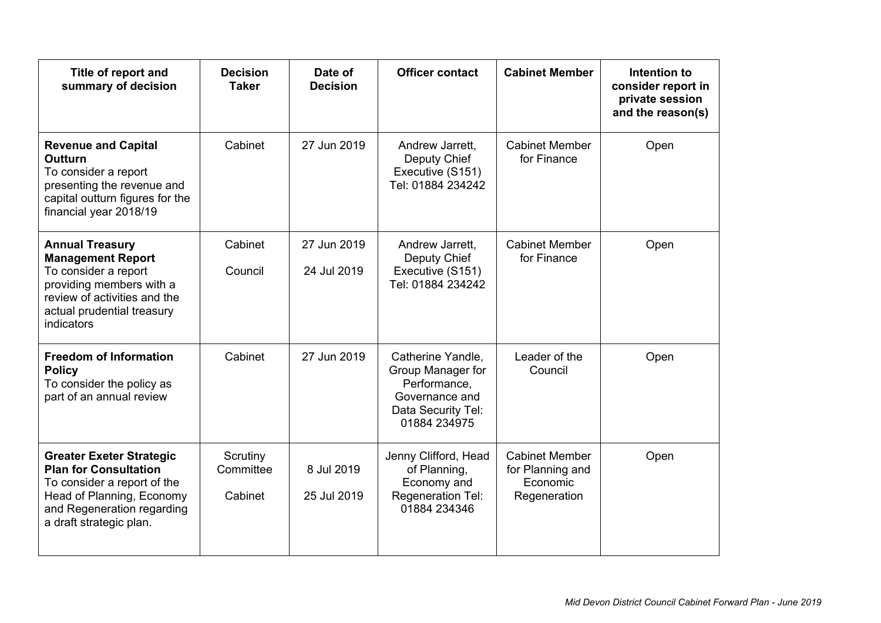| Title of report and<br>summary of decision                                                                                                                                           | <b>Decision</b><br><b>Taker</b>  | Date of<br><b>Decision</b> | <b>Officer contact</b>                                                                                         | <b>Cabinet Member</b>                                                 | Intention to<br>consider report in<br>private session<br>and the reason(s) |
|--------------------------------------------------------------------------------------------------------------------------------------------------------------------------------------|----------------------------------|----------------------------|----------------------------------------------------------------------------------------------------------------|-----------------------------------------------------------------------|----------------------------------------------------------------------------|
| <b>Revenue and Capital</b><br><b>Outturn</b><br>To consider a report<br>presenting the revenue and<br>capital outturn figures for the<br>financial year 2018/19                      | Cabinet                          | 27 Jun 2019                | Andrew Jarrett.<br>Deputy Chief<br>Executive (S151)<br>Tel: 01884 234242                                       | <b>Cabinet Member</b><br>for Finance                                  | Open                                                                       |
| <b>Annual Treasury</b><br><b>Management Report</b><br>To consider a report<br>providing members with a<br>review of activities and the<br>actual prudential treasury<br>indicators   | Cabinet<br>Council               | 27 Jun 2019<br>24 Jul 2019 | Andrew Jarrett,<br>Deputy Chief<br>Executive (S151)<br>Tel: 01884 234242                                       | <b>Cabinet Member</b><br>for Finance                                  | Open                                                                       |
| <b>Freedom of Information</b><br><b>Policy</b><br>To consider the policy as<br>part of an annual review                                                                              | Cabinet                          | 27 Jun 2019                | Catherine Yandle,<br>Group Manager for<br>Performance,<br>Governance and<br>Data Security Tel:<br>01884 234975 | Leader of the<br>Council                                              | Open                                                                       |
| <b>Greater Exeter Strategic</b><br><b>Plan for Consultation</b><br>To consider a report of the<br>Head of Planning, Economy<br>and Regeneration regarding<br>a draft strategic plan. | Scrutiny<br>Committee<br>Cabinet | 8 Jul 2019<br>25 Jul 2019  | Jenny Clifford, Head<br>of Planning,<br>Economy and<br>Regeneration Tel:<br>01884 234346                       | <b>Cabinet Member</b><br>for Planning and<br>Economic<br>Regeneration | Open                                                                       |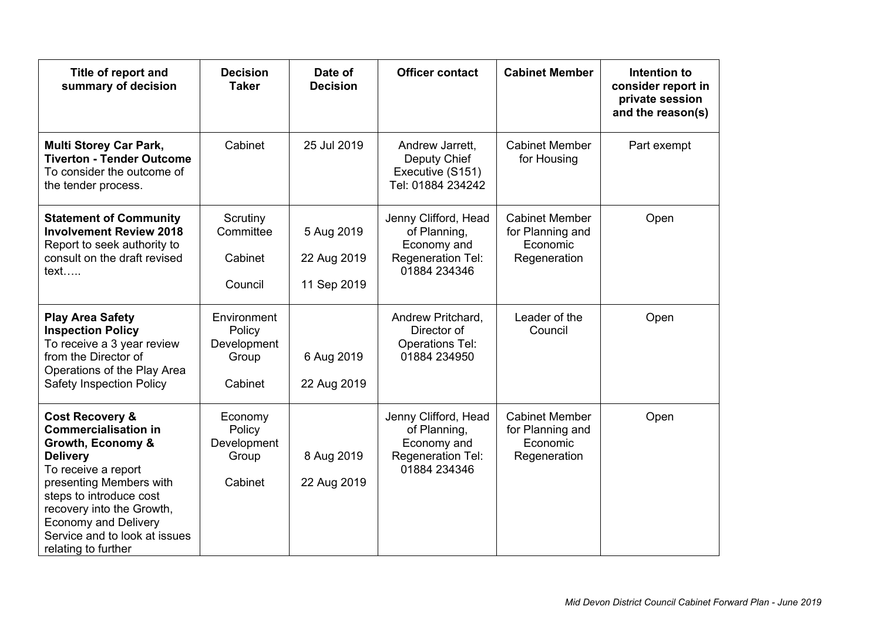| Title of report and<br>summary of decision                                                                                                                                                                                                                                                         | <b>Decision</b><br><b>Taker</b>                          | Date of<br><b>Decision</b>               | <b>Officer contact</b>                                                                   | <b>Cabinet Member</b>                                                 | Intention to<br>consider report in<br>private session<br>and the reason(s) |
|----------------------------------------------------------------------------------------------------------------------------------------------------------------------------------------------------------------------------------------------------------------------------------------------------|----------------------------------------------------------|------------------------------------------|------------------------------------------------------------------------------------------|-----------------------------------------------------------------------|----------------------------------------------------------------------------|
| <b>Multi Storey Car Park,</b><br><b>Tiverton - Tender Outcome</b><br>To consider the outcome of<br>the tender process.                                                                                                                                                                             | Cabinet                                                  | 25 Jul 2019                              | Andrew Jarrett,<br>Deputy Chief<br>Executive (S151)<br>Tel: 01884 234242                 | <b>Cabinet Member</b><br>for Housing                                  | Part exempt                                                                |
| <b>Statement of Community</b><br><b>Involvement Review 2018</b><br>Report to seek authority to<br>consult on the draft revised<br>text                                                                                                                                                             | Scrutiny<br>Committee<br>Cabinet<br>Council              | 5 Aug 2019<br>22 Aug 2019<br>11 Sep 2019 | Jenny Clifford, Head<br>of Planning,<br>Economy and<br>Regeneration Tel:<br>01884 234346 | <b>Cabinet Member</b><br>for Planning and<br>Economic<br>Regeneration | Open                                                                       |
| <b>Play Area Safety</b><br><b>Inspection Policy</b><br>To receive a 3 year review<br>from the Director of<br>Operations of the Play Area<br><b>Safety Inspection Policy</b>                                                                                                                        | Environment<br>Policy<br>Development<br>Group<br>Cabinet | 6 Aug 2019<br>22 Aug 2019                | Andrew Pritchard,<br>Director of<br><b>Operations Tel:</b><br>01884 234950               | Leader of the<br>Council                                              | Open                                                                       |
| <b>Cost Recovery &amp;</b><br><b>Commercialisation in</b><br>Growth, Economy &<br><b>Delivery</b><br>To receive a report<br>presenting Members with<br>steps to introduce cost<br>recovery into the Growth,<br><b>Economy and Delivery</b><br>Service and to look at issues<br>relating to further | Economy<br>Policy<br>Development<br>Group<br>Cabinet     | 8 Aug 2019<br>22 Aug 2019                | Jenny Clifford, Head<br>of Planning,<br>Economy and<br>Regeneration Tel:<br>01884 234346 | <b>Cabinet Member</b><br>for Planning and<br>Economic<br>Regeneration | Open                                                                       |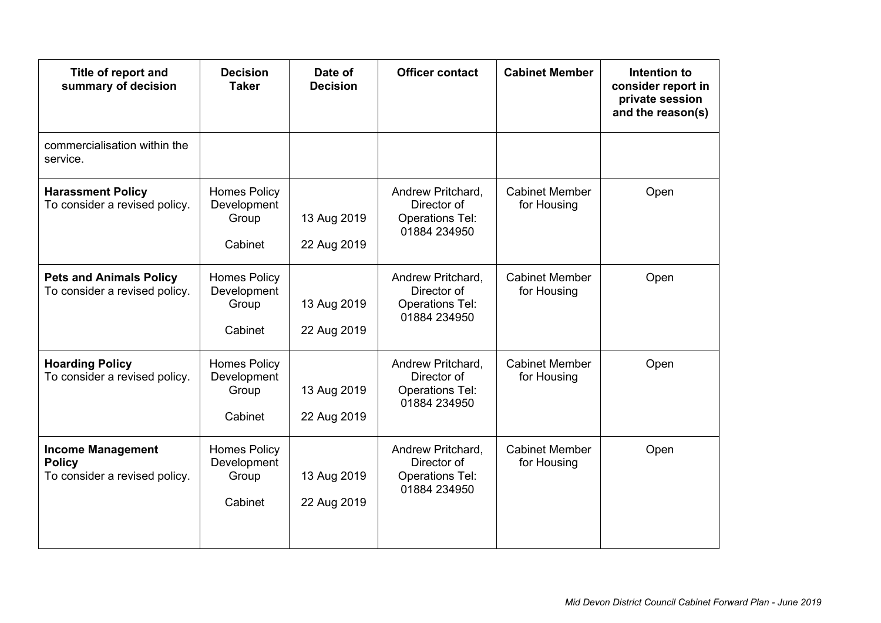| Title of report and<br>summary of decision                                 | <b>Decision</b><br><b>Taker</b>                        | Date of<br><b>Decision</b> | <b>Officer contact</b>                                                     | <b>Cabinet Member</b>                | Intention to<br>consider report in<br>private session<br>and the reason(s) |
|----------------------------------------------------------------------------|--------------------------------------------------------|----------------------------|----------------------------------------------------------------------------|--------------------------------------|----------------------------------------------------------------------------|
| commercialisation within the<br>service.                                   |                                                        |                            |                                                                            |                                      |                                                                            |
| <b>Harassment Policy</b><br>To consider a revised policy.                  | <b>Homes Policy</b><br>Development<br>Group<br>Cabinet | 13 Aug 2019<br>22 Aug 2019 | Andrew Pritchard,<br>Director of<br><b>Operations Tel:</b><br>01884 234950 | <b>Cabinet Member</b><br>for Housing | Open                                                                       |
| <b>Pets and Animals Policy</b><br>To consider a revised policy.            | <b>Homes Policy</b><br>Development<br>Group<br>Cabinet | 13 Aug 2019<br>22 Aug 2019 | Andrew Pritchard,<br>Director of<br><b>Operations Tel:</b><br>01884 234950 | <b>Cabinet Member</b><br>for Housing | Open                                                                       |
| <b>Hoarding Policy</b><br>To consider a revised policy.                    | <b>Homes Policy</b><br>Development<br>Group<br>Cabinet | 13 Aug 2019<br>22 Aug 2019 | Andrew Pritchard,<br>Director of<br><b>Operations Tel:</b><br>01884 234950 | <b>Cabinet Member</b><br>for Housing | Open                                                                       |
| <b>Income Management</b><br><b>Policy</b><br>To consider a revised policy. | <b>Homes Policy</b><br>Development<br>Group<br>Cabinet | 13 Aug 2019<br>22 Aug 2019 | Andrew Pritchard,<br>Director of<br><b>Operations Tel:</b><br>01884 234950 | <b>Cabinet Member</b><br>for Housing | Open                                                                       |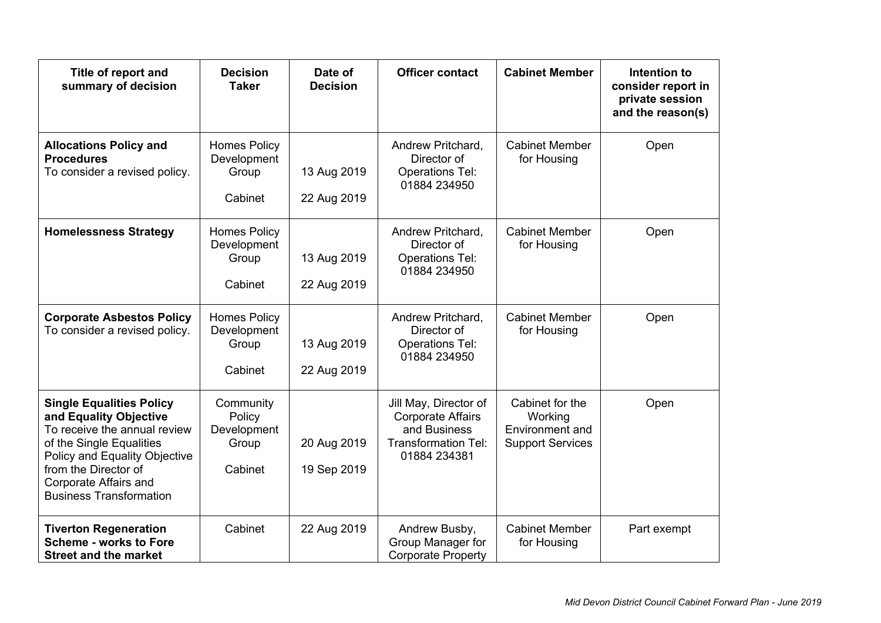| Title of report and<br>summary of decision                                                                                                                                                                                                       | <b>Decision</b><br><b>Taker</b>                        | Date of<br><b>Decision</b> | <b>Officer contact</b>                                                                                          | <b>Cabinet Member</b>                                                    | Intention to<br>consider report in<br>private session<br>and the reason(s) |
|--------------------------------------------------------------------------------------------------------------------------------------------------------------------------------------------------------------------------------------------------|--------------------------------------------------------|----------------------------|-----------------------------------------------------------------------------------------------------------------|--------------------------------------------------------------------------|----------------------------------------------------------------------------|
| <b>Allocations Policy and</b><br><b>Procedures</b><br>To consider a revised policy.                                                                                                                                                              | <b>Homes Policy</b><br>Development<br>Group<br>Cabinet | 13 Aug 2019<br>22 Aug 2019 | Andrew Pritchard,<br>Director of<br><b>Operations Tel:</b><br>01884 234950                                      | <b>Cabinet Member</b><br>for Housing                                     | Open                                                                       |
| <b>Homelessness Strategy</b>                                                                                                                                                                                                                     | <b>Homes Policy</b><br>Development<br>Group<br>Cabinet | 13 Aug 2019<br>22 Aug 2019 | Andrew Pritchard,<br>Director of<br><b>Operations Tel:</b><br>01884 234950                                      | <b>Cabinet Member</b><br>for Housing                                     | Open                                                                       |
| <b>Corporate Asbestos Policy</b><br>To consider a revised policy.                                                                                                                                                                                | <b>Homes Policy</b><br>Development<br>Group<br>Cabinet | 13 Aug 2019<br>22 Aug 2019 | Andrew Pritchard,<br>Director of<br><b>Operations Tel:</b><br>01884 234950                                      | <b>Cabinet Member</b><br>for Housing                                     | Open                                                                       |
| <b>Single Equalities Policy</b><br>and Equality Objective<br>To receive the annual review<br>of the Single Equalities<br>Policy and Equality Objective<br>from the Director of<br><b>Corporate Affairs and</b><br><b>Business Transformation</b> | Community<br>Policy<br>Development<br>Group<br>Cabinet | 20 Aug 2019<br>19 Sep 2019 | Jill May, Director of<br><b>Corporate Affairs</b><br>and Business<br><b>Transformation Tel:</b><br>01884 234381 | Cabinet for the<br>Working<br>Environment and<br><b>Support Services</b> | Open                                                                       |
| <b>Tiverton Regeneration</b><br><b>Scheme - works to Fore</b><br><b>Street and the market</b>                                                                                                                                                    | Cabinet                                                | 22 Aug 2019                | Andrew Busby,<br>Group Manager for<br><b>Corporate Property</b>                                                 | <b>Cabinet Member</b><br>for Housing                                     | Part exempt                                                                |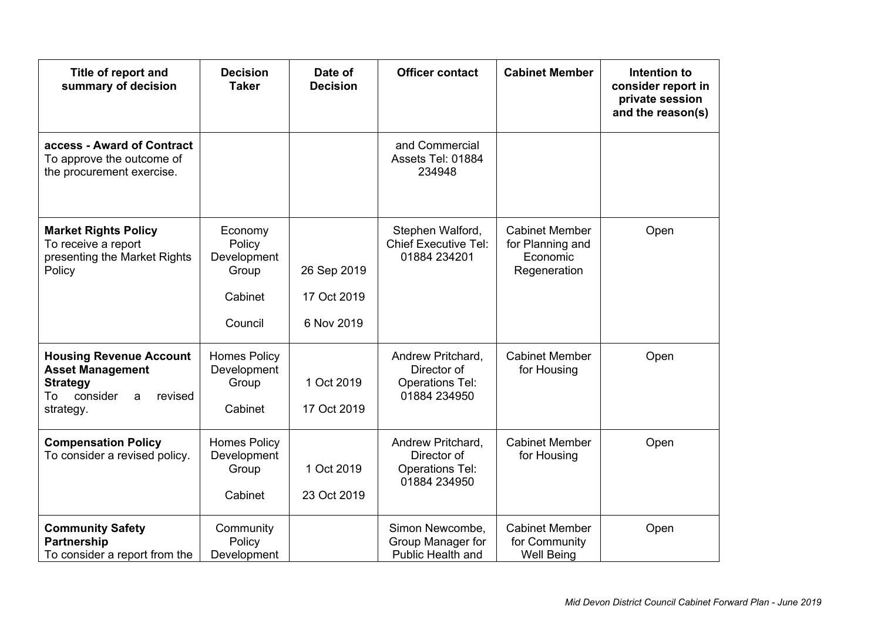| Title of report and<br>summary of decision                                                                                  | <b>Decision</b><br><b>Taker</b>                                 | Date of<br><b>Decision</b>               | <b>Officer contact</b>                                                     | <b>Cabinet Member</b>                                                 | Intention to<br>consider report in<br>private session<br>and the reason(s) |
|-----------------------------------------------------------------------------------------------------------------------------|-----------------------------------------------------------------|------------------------------------------|----------------------------------------------------------------------------|-----------------------------------------------------------------------|----------------------------------------------------------------------------|
| access - Award of Contract<br>To approve the outcome of<br>the procurement exercise.                                        |                                                                 |                                          | and Commercial<br>Assets Tel: 01884<br>234948                              |                                                                       |                                                                            |
| <b>Market Rights Policy</b><br>To receive a report<br>presenting the Market Rights<br>Policy                                | Economy<br>Policy<br>Development<br>Group<br>Cabinet<br>Council | 26 Sep 2019<br>17 Oct 2019<br>6 Nov 2019 | Stephen Walford,<br><b>Chief Executive Tel:</b><br>01884 234201            | <b>Cabinet Member</b><br>for Planning and<br>Economic<br>Regeneration | Open                                                                       |
| <b>Housing Revenue Account</b><br><b>Asset Management</b><br><b>Strategy</b><br>consider<br>revised<br>To<br>a<br>strategy. | <b>Homes Policy</b><br>Development<br>Group<br>Cabinet          | 1 Oct 2019<br>17 Oct 2019                | Andrew Pritchard,<br>Director of<br><b>Operations Tel:</b><br>01884 234950 | <b>Cabinet Member</b><br>for Housing                                  | Open                                                                       |
| <b>Compensation Policy</b><br>To consider a revised policy.                                                                 | <b>Homes Policy</b><br>Development<br>Group<br>Cabinet          | 1 Oct 2019<br>23 Oct 2019                | Andrew Pritchard,<br>Director of<br><b>Operations Tel:</b><br>01884 234950 | <b>Cabinet Member</b><br>for Housing                                  | Open                                                                       |
| <b>Community Safety</b><br><b>Partnership</b><br>To consider a report from the                                              | Community<br>Policy<br>Development                              |                                          | Simon Newcombe,<br>Group Manager for<br>Public Health and                  | <b>Cabinet Member</b><br>for Community<br><b>Well Being</b>           | Open                                                                       |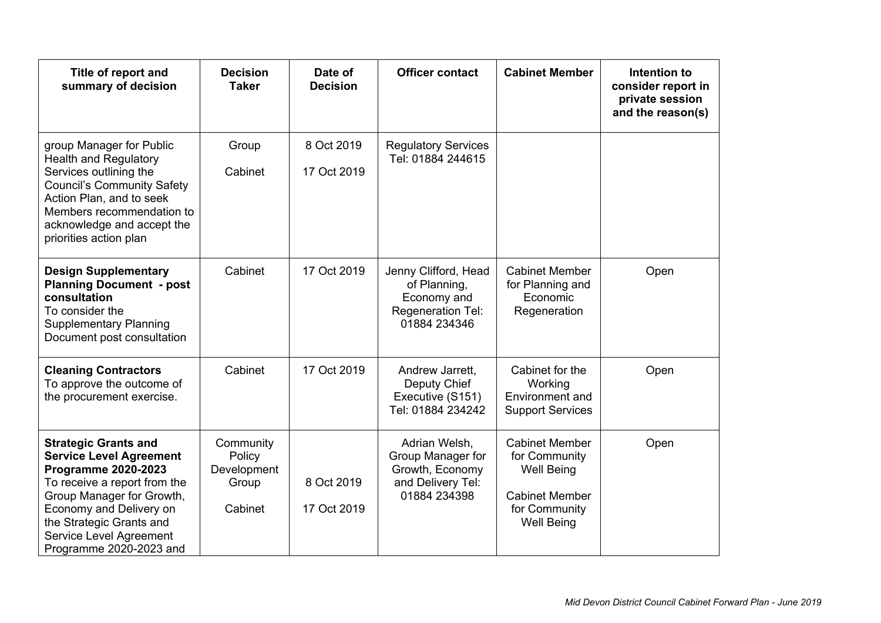| Title of report and<br>summary of decision                                                                                                                                                                                                                            | <b>Decision</b><br><b>Taker</b>                        | Date of<br><b>Decision</b> | <b>Officer contact</b>                                                                     | <b>Cabinet Member</b>                                                                                                      | Intention to<br>consider report in<br>private session<br>and the reason(s) |
|-----------------------------------------------------------------------------------------------------------------------------------------------------------------------------------------------------------------------------------------------------------------------|--------------------------------------------------------|----------------------------|--------------------------------------------------------------------------------------------|----------------------------------------------------------------------------------------------------------------------------|----------------------------------------------------------------------------|
| group Manager for Public<br><b>Health and Regulatory</b><br>Services outlining the<br><b>Council's Community Safety</b><br>Action Plan, and to seek<br>Members recommendation to<br>acknowledge and accept the<br>priorities action plan                              | Group<br>Cabinet                                       | 8 Oct 2019<br>17 Oct 2019  | <b>Regulatory Services</b><br>Tel: 01884 244615                                            |                                                                                                                            |                                                                            |
| <b>Design Supplementary</b><br><b>Planning Document - post</b><br>consultation<br>To consider the<br><b>Supplementary Planning</b><br>Document post consultation                                                                                                      | Cabinet                                                | 17 Oct 2019                | Jenny Clifford, Head<br>of Planning,<br>Economy and<br>Regeneration Tel:<br>01884 234346   | <b>Cabinet Member</b><br>for Planning and<br>Economic<br>Regeneration                                                      | Open                                                                       |
| <b>Cleaning Contractors</b><br>To approve the outcome of<br>the procurement exercise.                                                                                                                                                                                 | Cabinet                                                | 17 Oct 2019                | Andrew Jarrett,<br>Deputy Chief<br>Executive (S151)<br>Tel: 01884 234242                   | Cabinet for the<br>Working<br>Environment and<br><b>Support Services</b>                                                   | Open                                                                       |
| <b>Strategic Grants and</b><br><b>Service Level Agreement</b><br><b>Programme 2020-2023</b><br>To receive a report from the<br>Group Manager for Growth,<br>Economy and Delivery on<br>the Strategic Grants and<br>Service Level Agreement<br>Programme 2020-2023 and | Community<br>Policy<br>Development<br>Group<br>Cabinet | 8 Oct 2019<br>17 Oct 2019  | Adrian Welsh,<br>Group Manager for<br>Growth, Economy<br>and Delivery Tel:<br>01884 234398 | <b>Cabinet Member</b><br>for Community<br><b>Well Being</b><br><b>Cabinet Member</b><br>for Community<br><b>Well Being</b> | Open                                                                       |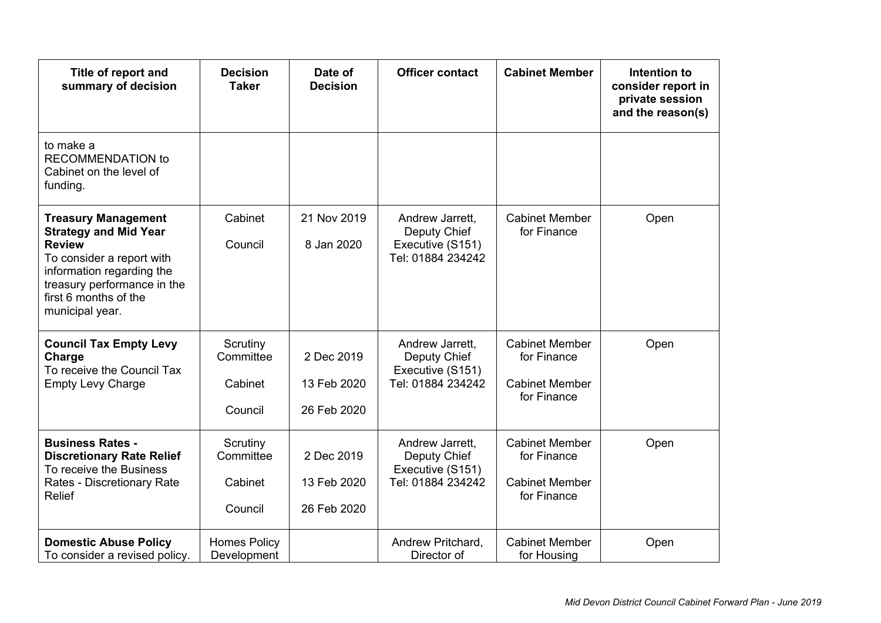| Title of report and<br>summary of decision                                                                                                                                                                       | <b>Decision</b><br><b>Taker</b>             | Date of<br><b>Decision</b>               | <b>Officer contact</b>                                                   | <b>Cabinet Member</b>                                                        | Intention to<br>consider report in<br>private session<br>and the reason(s) |
|------------------------------------------------------------------------------------------------------------------------------------------------------------------------------------------------------------------|---------------------------------------------|------------------------------------------|--------------------------------------------------------------------------|------------------------------------------------------------------------------|----------------------------------------------------------------------------|
| to make a<br>RECOMMENDATION to<br>Cabinet on the level of<br>funding.                                                                                                                                            |                                             |                                          |                                                                          |                                                                              |                                                                            |
| <b>Treasury Management</b><br><b>Strategy and Mid Year</b><br><b>Review</b><br>To consider a report with<br>information regarding the<br>treasury performance in the<br>first 6 months of the<br>municipal year. | Cabinet<br>Council                          | 21 Nov 2019<br>8 Jan 2020                | Andrew Jarrett,<br>Deputy Chief<br>Executive (S151)<br>Tel: 01884 234242 | <b>Cabinet Member</b><br>for Finance                                         | Open                                                                       |
| <b>Council Tax Empty Levy</b><br><b>Charge</b><br>To receive the Council Tax<br><b>Empty Levy Charge</b>                                                                                                         | Scrutiny<br>Committee<br>Cabinet<br>Council | 2 Dec 2019<br>13 Feb 2020<br>26 Feb 2020 | Andrew Jarrett,<br>Deputy Chief<br>Executive (S151)<br>Tel: 01884 234242 | <b>Cabinet Member</b><br>for Finance<br><b>Cabinet Member</b><br>for Finance | Open                                                                       |
| <b>Business Rates -</b><br><b>Discretionary Rate Relief</b><br>To receive the Business<br>Rates - Discretionary Rate<br><b>Relief</b>                                                                            | Scrutiny<br>Committee<br>Cabinet<br>Council | 2 Dec 2019<br>13 Feb 2020<br>26 Feb 2020 | Andrew Jarrett,<br>Deputy Chief<br>Executive (S151)<br>Tel: 01884 234242 | <b>Cabinet Member</b><br>for Finance<br><b>Cabinet Member</b><br>for Finance | Open                                                                       |
| <b>Domestic Abuse Policy</b><br>To consider a revised policy.                                                                                                                                                    | <b>Homes Policy</b><br>Development          |                                          | Andrew Pritchard,<br>Director of                                         | <b>Cabinet Member</b><br>for Housing                                         | Open                                                                       |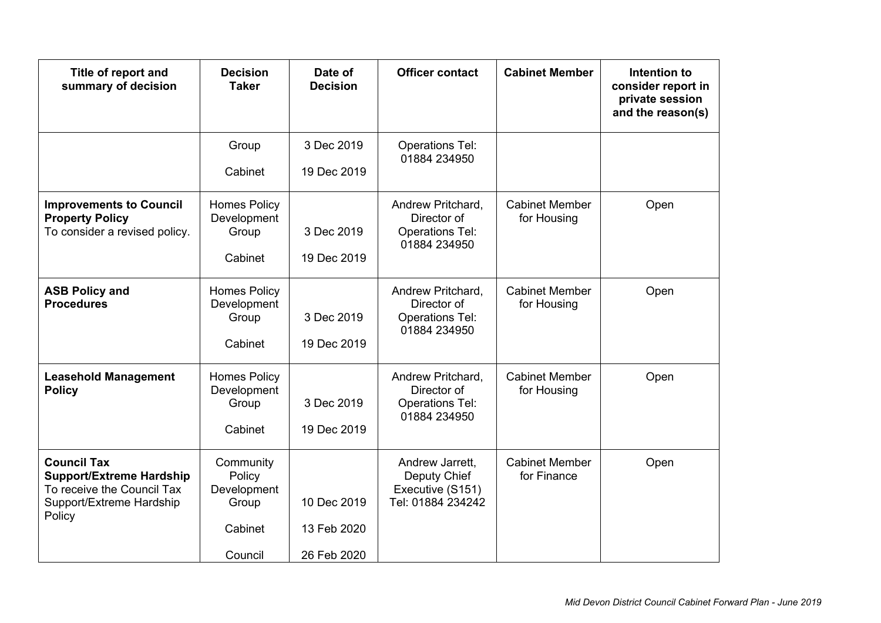| Title of report and<br>summary of decision                                                                                | <b>Decision</b><br><b>Taker</b>                                   | Date of<br><b>Decision</b>                | <b>Officer contact</b>                                                     | <b>Cabinet Member</b>                | Intention to<br>consider report in<br>private session<br>and the reason(s) |
|---------------------------------------------------------------------------------------------------------------------------|-------------------------------------------------------------------|-------------------------------------------|----------------------------------------------------------------------------|--------------------------------------|----------------------------------------------------------------------------|
|                                                                                                                           | Group<br>Cabinet                                                  | 3 Dec 2019<br>19 Dec 2019                 | <b>Operations Tel:</b><br>01884 234950                                     |                                      |                                                                            |
| <b>Improvements to Council</b><br><b>Property Policy</b><br>To consider a revised policy.                                 | <b>Homes Policy</b><br>Development<br>Group<br>Cabinet            | 3 Dec 2019<br>19 Dec 2019                 | Andrew Pritchard,<br>Director of<br><b>Operations Tel:</b><br>01884 234950 | <b>Cabinet Member</b><br>for Housing | Open                                                                       |
| <b>ASB Policy and</b><br><b>Procedures</b>                                                                                | <b>Homes Policy</b><br>Development<br>Group<br>Cabinet            | 3 Dec 2019<br>19 Dec 2019                 | Andrew Pritchard,<br>Director of<br><b>Operations Tel:</b><br>01884 234950 | <b>Cabinet Member</b><br>for Housing | Open                                                                       |
| <b>Leasehold Management</b><br><b>Policy</b>                                                                              | <b>Homes Policy</b><br>Development<br>Group<br>Cabinet            | 3 Dec 2019<br>19 Dec 2019                 | Andrew Pritchard,<br>Director of<br><b>Operations Tel:</b><br>01884 234950 | <b>Cabinet Member</b><br>for Housing | Open                                                                       |
| <b>Council Tax</b><br><b>Support/Extreme Hardship</b><br>To receive the Council Tax<br>Support/Extreme Hardship<br>Policy | Community<br>Policy<br>Development<br>Group<br>Cabinet<br>Council | 10 Dec 2019<br>13 Feb 2020<br>26 Feb 2020 | Andrew Jarrett,<br>Deputy Chief<br>Executive (S151)<br>Tel: 01884 234242   | <b>Cabinet Member</b><br>for Finance | Open                                                                       |